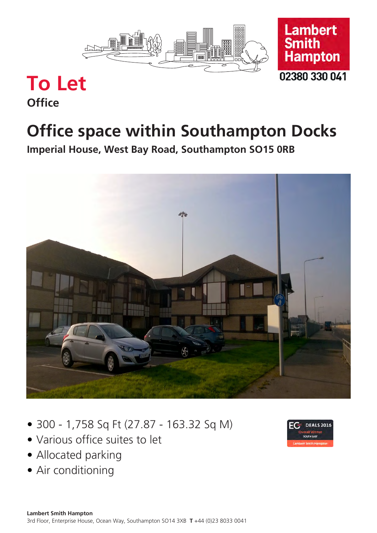



# **To Let**

## **Office**

# **Office space within Southampton Docks**

**Imperial House, West Bay Road, Southampton SO15 0RB**



- 300 1,758 Sq Ft (27.87 163.32 Sq M)
- Various office suites to let
- Allocated parking
- Air conditioning

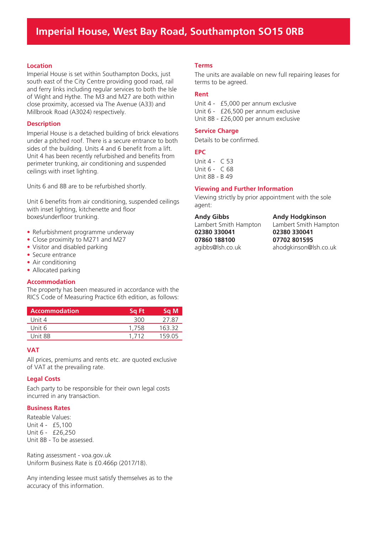## **Imperial House, West Bay Road, Southampton SO15 0RB**

#### **Location**

Imperial House is set within Southampton Docks, just south east of the City Centre providing good road, rail and ferry links including regular services to both the Isle of Wight and Hythe. The M3 and M27 are both within close proximity, accessed via The Avenue (A33) and Millbrook Road (A3024) respectively.

#### **Description**

Imperial House is a detached building of brick elevations under a pitched roof. There is a secure entrance to both sides of the building. Units 4 and 6 benefit from a lift. Unit 4 has been recently refurbished and benefits from perimeter trunking, air conditioning and suspended ceilings with inset lighting.

Units 6 and 8B are to be refurbished shortly.

Unit 6 benefits from air conditioning, suspended ceilings with inset lighting, kitchenette and floor boxes/underfloor trunking.

- Refurbishment programme underway
- Close proximity to M271 and M27
- Visitor and disabled parking
- Secure entrance
- Air conditioning
- Allocated parking

#### **Accommodation**

The property has been measured in accordance with the RICS Code of Measuring Practice 6th edition, as follows:

| <b>Accommodation</b> | Sa Ft | Sq M   |
|----------------------|-------|--------|
| Unit 4               | 300   | 27.87  |
| Unit 6               | 1.758 | 163.32 |
| Unit 8B              | 1 712 | 159 05 |

#### **VAT**

All prices, premiums and rents etc. are quoted exclusive of VAT at the prevailing rate.

#### **Legal Costs**

Each party to be responsible for their own legal costs incurred in any transaction.

#### **Business Rates**

Rateable Values: Unit 4 - £5,100 Unit 6 - £26,250 Unit 8B - To be assessed.

Rating assessment - voa.gov.uk Uniform Business Rate is £0.466p (2017/18).

Any intending lessee must satisfy themselves as to the accuracy of this information.

#### **Terms**

The units are available on new full repairing leases for terms to be agreed.

#### **Rent**

Unit 4 - £5,000 per annum exclusive Unit 6 - £26,500 per annum exclusive Unit 8B - £26,000 per annum exclusive

#### **Service Charge**

Details to be confirmed.

#### **EPC**

Unit 4 - C 53 Unit 6 - C 68 Unit 8B - B 49

#### **Viewing and Further Information**

Viewing strictly by prior appointment with the sole agent:

**Andy Gibbs**

Lambert Smith Hampton **02380 330041 07860 188100** agibbs@lsh.co.uk

**Andy Hodgkinson**

Lambert Smith Hampton **02380 330041 07702 801595** ahodgkinson@lsh.co.uk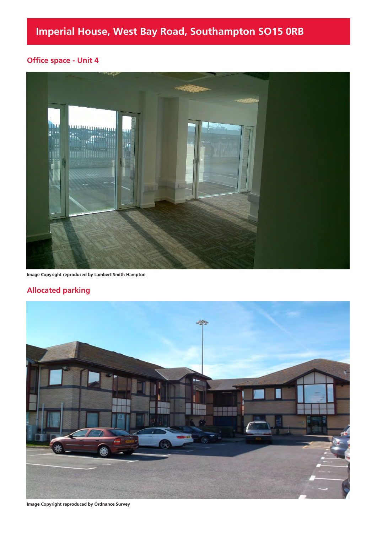### **Office space - Unit 4**



**Image Copyright reproduced by Lambert Smith Hampton**

### **Allocated parking**